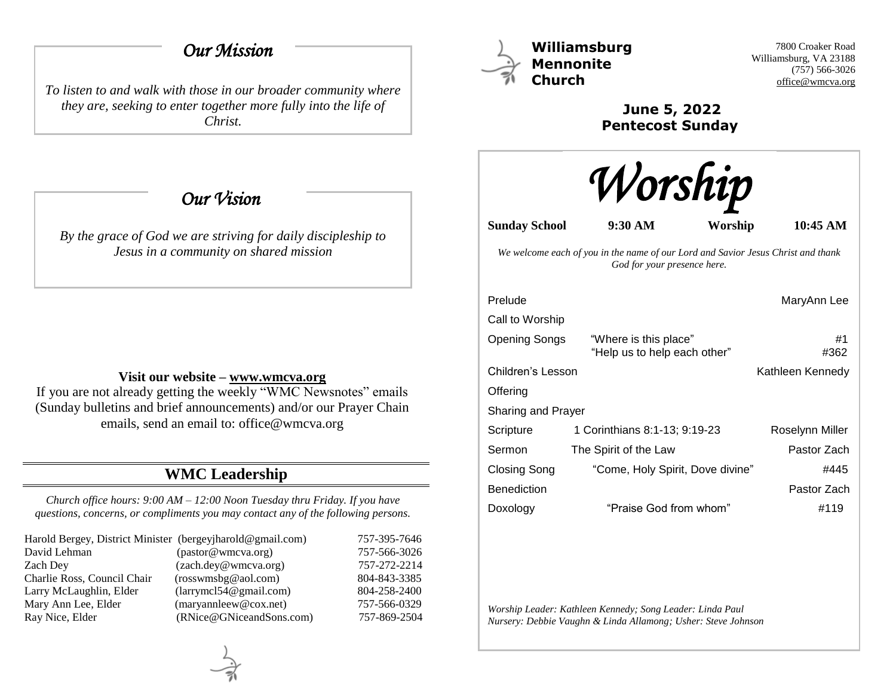# *Our Mission*

*To listen to and walk with those in our broader community where they are, seeking to enter together more fully into the life of Christ.*

 *Our Vision* 

*By the grace of God we are striving for daily discipleship to Jesus in a community on shared mission*

#### **Visit our website – [www.wmcva.org](http://www.wmcva.org/)**

If you are not already getting the weekly "WMC Newsnotes" emails (Sunday bulletins and brief announcements) and/or our Prayer Chain emails, send an email to: office@wmcva.org

# **WMC Leadership**

*Church office hours: 9:00 AM – 12:00 Noon Tuesday thru Friday. If you have questions, concerns, or compliments you may contact any of the following persons.*

| Harold Bergey, District Minister (bergeyjharold@gmail.com) |                                | 757-395-7646 |
|------------------------------------------------------------|--------------------------------|--------------|
| David Lehman                                               | (pastor@wmcva.org)             | 757-566-3026 |
| Zach Dev                                                   | (zach.dey@wmcva.org)           | 757-272-2214 |
| Charlie Ross, Council Chair                                | (rosswmsbg@aol.com)            | 804-843-3385 |
| Larry McLaughlin, Elder                                    | (larymel 54@gmail.com)         | 804-258-2400 |
| Mary Ann Lee, Elder                                        | $(\text{maryannleew@cox.net})$ | 757-566-0329 |
| Ray Nice, Elder                                            | (RNice@GNiceandSons.com)       | 757-869-2504 |



**Williamsburg Mennonite Church**

7800 Croaker Road Williamsburg, VA 23188 (757) 566-3026 [office@wmcva.org](mailto:office@wmcva.org)

**June 5, 2022 Pentecost Sunday**



**Sunday School 9:30 AM Worship 10:45 AM**

*We welcome each of you in the name of our Lord and Savior Jesus Christ and thank God for your presence here.*

| Prelude                   |                                                       | MaryAnn Lee      |
|---------------------------|-------------------------------------------------------|------------------|
| Call to Worship           |                                                       |                  |
| <b>Opening Songs</b>      | "Where is this place"<br>"Help us to help each other" | #1<br>#362       |
| Children's Lesson         |                                                       | Kathleen Kennedy |
| Offering                  |                                                       |                  |
| <b>Sharing and Prayer</b> |                                                       |                  |
| Scripture                 | 1 Corinthians 8:1-13; 9:19-23                         | Roselynn Miller  |
| Sermon                    | The Spirit of the Law                                 | Pastor Zach      |
| Closing Song              | "Come, Holy Spirit, Dove divine"                      | #445             |
| <b>Benediction</b>        |                                                       | Pastor Zach      |
| Doxology                  | "Praise God from whom"                                | #119             |

*Worship Leader: Kathleen Kennedy; Song Leader: Linda Paul Nursery: Debbie Vaughn & Linda Allamong; Usher: Steve Johnson*